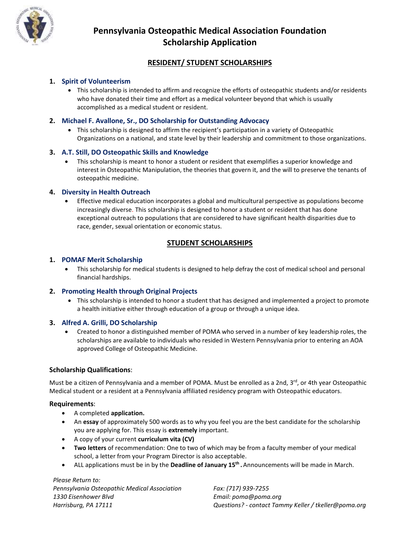

## **Pennsylvania Osteopathic Medical Association Foundation Scholarship Application**

## **RESIDENT/ STUDENT SCHOLARSHIPS**

## **1. Spirit of Volunteerism**

• This scholarship is intended to affirm and recognize the efforts of osteopathic students and/or residents who have donated their time and effort as a medical volunteer beyond that which is usually accomplished as a medical student or resident.

## **2. Michael F. Avallone, Sr., DO Scholarship for Outstanding Advocacy**

• This scholarship is designed to affirm the recipient's participation in a variety of Osteopathic Organizations on a national, and state level by their leadership and commitment to those organizations.

## **3. A.T. Still, DO Osteopathic Skills and Knowledge**

• This scholarship is meant to honor a student or resident that exemplifies a superior knowledge and interest in Osteopathic Manipulation, the theories that govern it, and the will to preserve the tenants of osteopathic medicine.

## **4. Diversity in Health Outreach**

• Effective medical education incorporates a global and multicultural perspective as populations become increasingly diverse. This scholarship is designed to honor a student or resident that has done exceptional outreach to populations that are considered to have significant health disparities due to race, gender, sexual orientation or economic status.

## **STUDENT SCHOLARSHIPS**

#### **1. POMAF Merit Scholarship**

• This scholarship for medical students is designed to help defray the cost of medical school and personal financial hardships.

## **2. Promoting Health through Original Projects**

• This scholarship is intended to honor a student that has designed and implemented a project to promote a health initiative either through education of a group or through a unique idea.

## **3. Alfred A. Grilli, DO Scholarship**

• Created to honor a distinguished member of POMA who served in a number of key leadership roles, the scholarships are available to individuals who resided in Western Pennsylvania prior to entering an AOA approved College of Osteopathic Medicine.

## **Scholarship Qualifications**:

Must be a citizen of Pennsylvania and a member of POMA. Must be enrolled as a 2nd, 3<sup>rd</sup>, or 4th year Osteopathic Medical student or a resident at a Pennsylvania affiliated residency program with Osteopathic educators.

#### **Requirements**:

- A completed **application.**
- An **essay** of approximately 500 words as to why you feel you are the best candidate for the scholarship you are applying for. This essay is **extremely** important.
- A copy of your current **curriculum vita (CV)**
- **Two letters** of recommendation: One to two of which may be from a faculty member of your medical school, a letter from your Program Director is also acceptable.
- ALL applications must be in by the **Deadline of January 15 th .** Announcements will be made in March.

*Please Return to: Pennsylvania Osteopathic Medical Association Fax: (717) 939-7255 1330 Eisenhower Blvd Email: poma@poma.org*

*Harrisburg, PA 17111 Questions? - contact Tammy Keller / tkeller@poma.org*